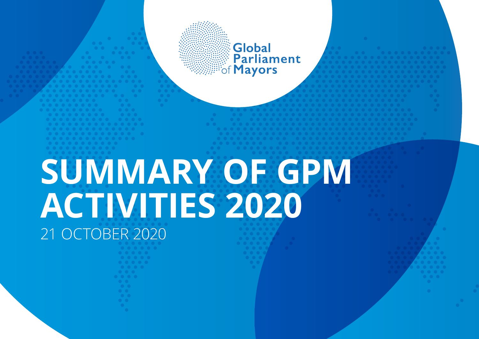Global **Parliament**<br>of **Mayors** 

## **SUMMARY OF GPM ACTIVITIES 2020** 21 OCTOBER 2020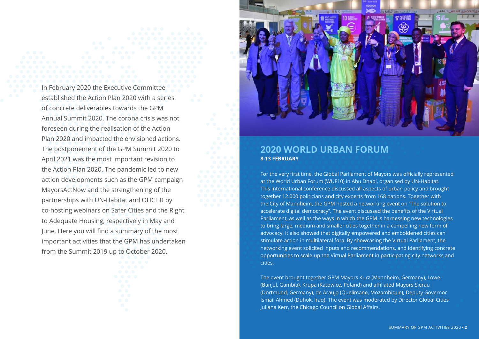In February 2020 the Executive Committee established the Action Plan 2020 with a series of concrete deliverables towards the GPM Annual Summit 2020. The corona crisis was not foreseen during the realisation of the Action Plan 2020 and impacted the envisioned actions. The postponement of the GPM Summit 2020 to April 2021 was the most important revision to the Action Plan 2020. The pandemic led to new action developments such as the GPM campaign MayorsActNow and the strengthening of the partnerships with UN-Habitat and OHCHR by co-hosting webinars on Safer Cities and the Right to Adequate Housing, respectively in May and June. Here you will find a summary of the most important activities that the GPM has undertaken from the Summit 2019 up to October 2020.



#### **2020 WORLD URBAN FORUM 8-13 FEBRUARY**

For the very first time, the Global Parliament of Mayors was officially represented at the World Urban Forum (WUF10) in Abu Dhabi, organised by UN-Habitat. This international conference discussed all aspects of urban policy and brought together 12.000 politicians and city experts from 168 nations. Together with the City of Mannheim, the GPM hosted a networking event on "The solution to accelerate digital democracy". The event discussed the benefits of the Virtual Parliament, as well as the ways in which the GPM is harnessing new technologies to bring large, medium and smaller cities together in a compelling new form of advocacy. It also showed that digitally empowered and emboldened cities can stimulate action in multilateral fora. By showcasing the Virtual Parliament, the networking event solicited inputs and recommendations, and identifying concrete opportunities to scale-up the Virtual Parliament in participating city networks and cities.

The event brought together GPM Mayors Kurz (Mannheim, Germany), Lowe (Banjul, Gambia), Krupa (Katowice, Poland) and affiliated Mayors Sierau (Dortmund, Germany), de Araujo (Quelimane, Mozambique), Deputy Governor Ismail Ahmed (Duhok, Iraq). The event was moderated by Director Global Cities Juliana Kerr, the Chicago Council on Global Affairs.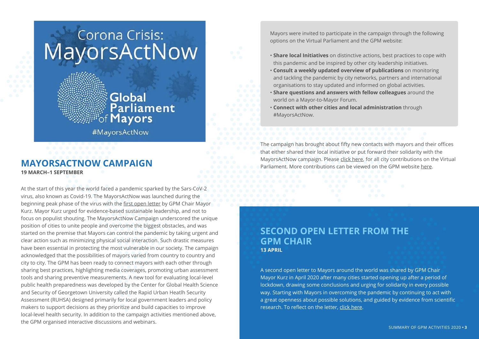# Corona Crisis:<br>MayorsActNow

### **Global Parliament**<br>Allayors

#MayorsActNow

#### **MAYORSACTNOW CAMPAIGN 19 MARCH–1 SEPTEMBER**

At the start of this year the world faced a pandemic sparked by the Sars-CoV-2 virus, also known as Covid-19. The MayorsActNow was launched during the beginning peak phase of the virus with the first open letter by GPM Chair Mayor Kurz. Mayor Kurz urged for evidence-based sustainable leadership, and not to focus on populist shouting. The MayorsActNow Campaign underscored the unique position of cities to unite people and overcome the biggest obstacles, and was started on the premise that Mayors can control the pandemic by taking urgent and clear action such as minimizing physical social interaction. Such drastic measures have been essential in protecting the most vulnerable in our society. The campaign acknowledged that the possibilities of mayors varied from country to country and city to city. The GPM has been ready to connect mayors with each other through sharing best practices, highlighting media coverages, promoting urban assessment tools and sharing preventive measurements. A new tool for evaluating local-level public health preparedness was developed by the Center for Global Health Science and Security of Georgetown University called the Rapid Urban Heatlh Security Assessment (RUHSA) designed primarily for local government leaders and policy makers to support decisions as they prioritize and build capacities to improve local-level health security. In addition to the campaign activities mentioned above, the GPM organised interactive discussions and webinars.

Mayors were invited to participate in the campaign through the following options on the Virtual Parliament and the GPM website:

- **Share local Initiatives** on distinctive actions, best practices to cope with this pandemic and be inspired by other city leadership initiatives.
- **Consult a weekly updated overview of publications** on monitoring and tackling the pandemic by city networks, partners and international organisations to stay updated and informed on global activities.
- • **Share questions and answers with fellow colleagues** around the world on a Mayor-to-Mayor Forum.
- **Connect with other cities and local administration** through #MayorsActNow.

The campaign has brought about fifty new contacts with mayors and their offices that either shared their local initiative or put forward their solidarity with the MayorsActNow campaign. Please click here, for all city contributions on the Virtual Parliament. More contributions can be viewed on the GPM website here.

#### **SECOND OPEN LETTER FROM THE GPM CHAIR 13 APRIL**

A second open letter to Mayors around the world was shared by GPM Chair Mayor Kurz in April 2020 after many cities started opening up after a period of lockdown, drawing some conclusions and urging for solidarity in every possible way. Starting with Mayors in overcoming the pandemic by continuing to act with a great openness about possible solutions, and guided by evidence from scientific research. To reflect on the letter, click here.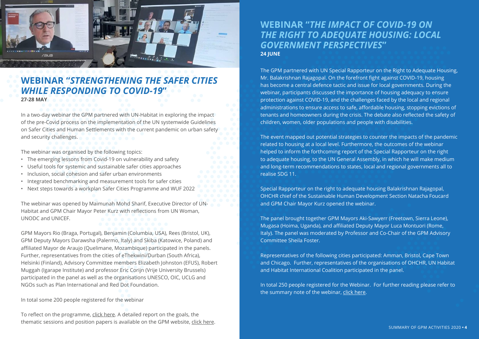

#### **WEBINAR "***STRENGTHENING THE SAFER CITIES WHILE RESPONDING TO COVID-19***"**

**27-28 MAY**

In a two-day webinar the GPM partnered with UN-Habitat in exploring the impact of the pre-Covid process on the implementation of the UN systemwide Guidelines on Safer Cities and Human Settlements with the current pandemic on urban safety and security challenges.

The webinar was organised by the following topics:

- The emerging lessons from Covid-19 on vulnerability and safety
- Useful tools for systemic and sustainable safer cities approaches
- Inclusion, social cohesion and safer urban environments
- Integrated benchmarking and measurement tools for safer cities
- Next steps towards a workplan Safer Cities Programme and WUF 2022

The webinar was opened by Maimunah Mohd Sharif, Executive Director of UN-Habitat and GPM Chair Mayor Peter Kurz with reflections from UN Woman, UNODC and UNICEF.

GPM Mayors Rio (Braga, Portugal), Benjamin (Columbia, USA), Rees (Bristol, UK), GPM Deputy Mayors Darawsha (Palermo, Italy) and Skiba (Katowice, Poland) and affiliated Mayor de Araujo (Quelimane, Mozambique) participated in the panels. Further, representatives from the cities of eThekwini/Durban (South Africa), Helsinki (Finland), Advisory Committee members Elizabeth Johnston (EFUS), Robert Muggah (Igarape Institute) and professor Eric Corijn (Vrije University Brussels) participated in the panel as well as the organisations UNESCO, OIC, UCLG and NGOs such as Plan International and Red Dot Foundation.

In total some 200 people registered for the webinar

To reflect on the programme, click here. A detailed report on the goals, the thematic sessions and position papers is available on the GPM website, click here.

#### **WEBINAR "***THE IMPACT OF COVID-19 ON THE RIGHT TO ADEQUATE HOUSING: LOCAL GOVERNMENT PERSPECTIVES***" 24 JUNE**

The GPM partnered with UN Special Rapporteur on the Right to Adequate Housing, Mr. Balakrishnan Rajagopal. On the forefront fight against COVID-19, housing has become a central defence tactic and issue for local governments. During the webinar, participants discussed the importance of housing adequacy to ensure protection against COVID-19, and the challenges faced by the local and regional administrations to ensure access to safe, affordable housing, stopping evictions of tenants and homeowners during the crisis. The debate also reflected the safety of children, women, older populations and people with disabilities.

The event mapped out potential strategies to counter the impacts of the pandemic related to housing at a local level. Furthermore, the outcomes of the webinar helped to inform the forthcoming report of the Special Rapporteur on the right to adequate housing, to the UN General Assembly, in which he will make medium and long-term recommendations to states, local and regional governments all to realise SDG 11.

Special Rapporteur on the right to adequate housing Balakrishnan Rajagopal, OHCHR chief of the Sustainable Human Development Section Natacha Foucard and GPM Chair Mayor Kurz opened the webinar.

The panel brought together GPM Mayors Aki-Sawyerr (Freetown, Sierra Leone), Mugasa (Hoima, Uganda), and affiliated Deputy Mayor Luca Montuori (Rome, Italy). The panel was moderated by Professor and Co-Chair of the GPM Advisory Committee Sheila Foster.

Representatives of the following cities participated: Amman, Bristol, Cape Town and Chicago. Further, representatives of the organisations of OHCHR, UN Habitat and Habitat International Coalition participated in the panel.

In total 250 people registered for the Webinar. For further reading please refer to the summary note of the webinar, click here.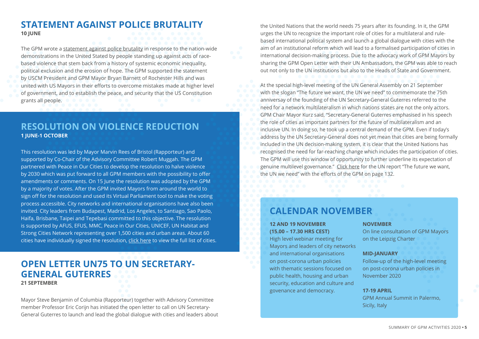#### **STATEMENT AGAINST POLICE BRUTALITY 10 JUNE**

The GPM wrote a statement against police brutality in response to the nation-wide demonstrations in the United Stated by people standing up against acts of racebased violence that stem back from a history of systemic economic inequality, political exclusion and the erosion of hope. The GPM supported the statement by USCM President and GPM Mayor Bryan Barnett of Rochester Hills and was united with US Mayors in their efforts to overcome mistakes made at higher level of government, and to establish the peace, and security that the US Constitution grants all people.

#### **RESOLUTION ON VIOLENCE REDUCTION 1 JUNE-1 OCTOBER**

This resolution was led by Mayor Marvin Rees of Bristol (Rapporteur) and supported by Co-Chair of the Advisory Committee Robert Muggah. The GPM partnered with Peace in Our Cities to develop the resolution to halve violence by 2030 which was put forward to all GPM members with the possibility to offer amendments or comments. On 15 June the resolution was adopted by the GPM by a majority of votes. After the GPM invited Mayors from around the world to sign off for the resolution and used its Virtual Parliament tool to make the voting process accessible. City networks and international organisations have also been invited. City leaders from Budapest, Madrid, Los Angeles, to Santiago, Sao Paolo, Haifa, Brisbane, Taipei and Tepebasi committed to this objective. The resolution is supported by AFUS, EFUS, MMC, Peace in Our Cities, UNICEF, UN Habitat and Strong Cities Network representing over 1,500 cities and urban areas. About 60 cities have individually signed the resolution, click here to view the full list of cities.

#### **OPEN LETTER UN75 TO UN SECRETARY-GENERAL GUTERRES 21 SEPTEMBER**

Mayor Steve Benjamin of Columbia (Rapporteur) together with Advisory Committee member Professor Eric Corijn has initiated the open letter to call on UN Secretary-General Guterres to launch and lead the global dialogue with cities and leaders about

the United Nations that the world needs 75 years after its founding. In it, the GPM urges the UN to recognize the important role of cities for a multilateral and rulebased international political system and launch a global dialogue with cities with the aim of an institutional reform which will lead to a formalised participation of cities in international decision-making process. Due to the advocacy work of GPM Mayors by sharing the GPM Open Letter with their UN Ambassadors, the GPM was able to reach out not only to the UN institutions but also to the Heads of State and Government.

At the special high-level meeting of the UN General Assembly on 21 September with the slogan "The future we want, the UN we need" to commemorate the 75th anniversay of the founding of the UN Secretary-General Guterres referred to the need for a network multilateralism in which nations states are not the only actors. GPM Chair Mayor Kurz said, "Secretary-General Guterres emphasised in his speech the role of cities as important partners for the future of multilateralism and an inclusive UN. In doing so, he took up a central demand of the GPM. Even if today's address by the UN Secretary-General does not yet mean that cities are being formally included in the UN decision-making system, it is clear that the United Nations has recognised the need for far-reaching change which includes the participation of cities. The GPM will use this window of opportunity to further underline its expectation of genuine multilevel governance." Click here for the UN report "The future we want, the UN we need" with the efforts of the GPM on page 132.

#### **CALENDAR NOVEMBER**

#### **12 AND 19 NOVEMBER (15.00 – 17.30 HRS CEST)**

High level webinar meeting for Mayors and leaders of city networks and international organisations on post-corona urban policies with thematic sessions focused on public health, housing and urban security, education and culture and govenance and democracy.

#### **NOVEMBER**

On line consultation of GPM Mayors on the Leipzig Charter

#### **MID-JANUARY**

Follow-up of the high-level meeting on post-corona urban policies in November 2020

#### **17-19 APRIL**

GPM Annual Summit in Palermo, Sicily, Italy